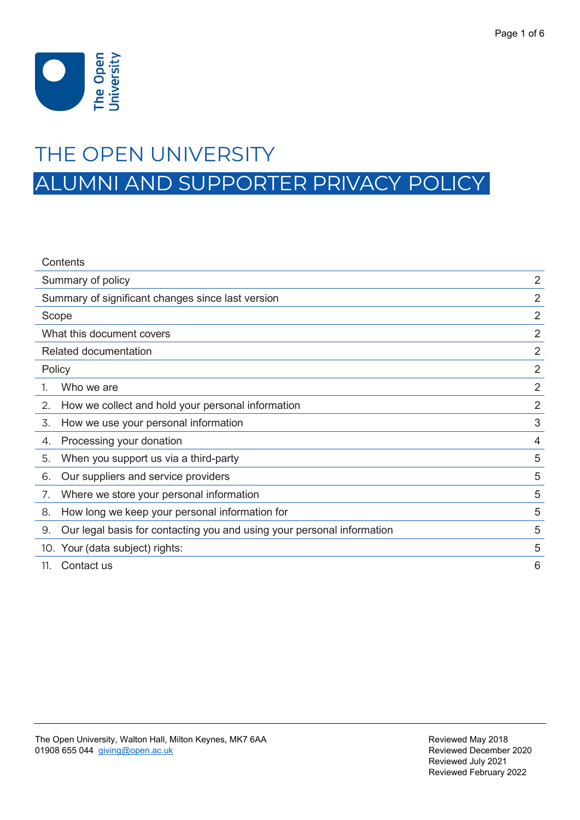

# THE OPEN UNIVERSITY

ALUMNI AND SUPPORTER PRIVACY POLICY

| Contents                                                                     |                |
|------------------------------------------------------------------------------|----------------|
| Summary of policy                                                            | $\overline{2}$ |
| Summary of significant changes since last version                            | $\overline{2}$ |
| Scope                                                                        | $\overline{2}$ |
| What this document covers                                                    | $\overline{2}$ |
| Related documentation                                                        | $\overline{2}$ |
| Policy                                                                       | $\overline{2}$ |
| Who we are                                                                   | $\overline{2}$ |
| How we collect and hold your personal information<br>2.                      | $\overline{2}$ |
| How we use your personal information<br>3.                                   | 3              |
| Processing your donation<br>4.                                               | 4              |
| When you support us via a third-party<br>5.                                  | 5              |
| Our suppliers and service providers<br>6.                                    | 5              |
| Where we store your personal information<br>7.                               | 5              |
| How long we keep your personal information for<br>8.                         | 5              |
| Our legal basis for contacting you and using your personal information<br>9. | 5              |
| 10. Your (data subject) rights:                                              | 5              |
| Contact us<br>11.                                                            | 6              |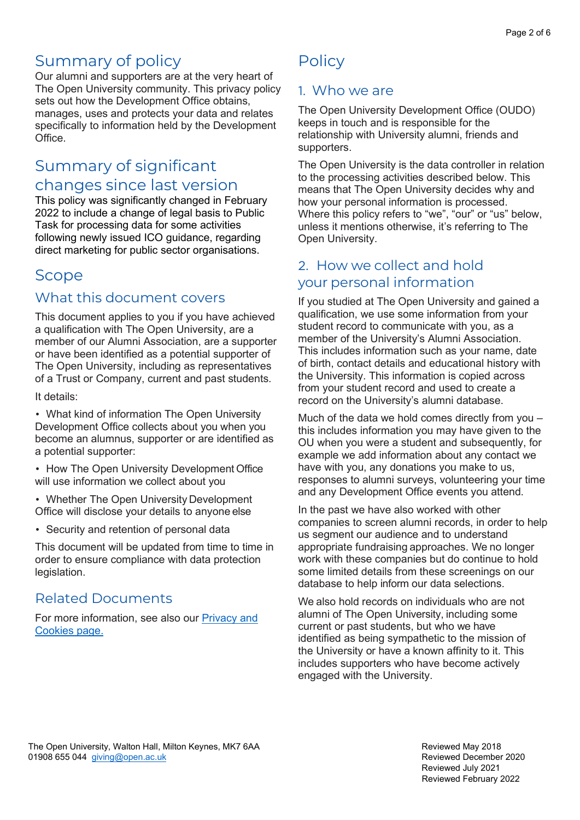# Summary of policy

Our alumni and supporters are at the very heart of The Open University community. This privacy policy sets out how the Development Office obtains, manages, uses and protects your data and relates specifically to information held by the Development Office.

# <span id="page-1-0"></span>Summary of significant changes since last version

This policy was significantly changed in February 2022 to include a change of legal basis to Public Task for processing data for some activities following newly issued ICO guidance, regarding direct marketing for public sector organisations.

# <span id="page-1-1"></span>Scope

## <span id="page-1-2"></span>What this document covers

This document applies to you if you have achieved a qualification with The Open University, are a member of our Alumni Association, are a supporter or have been identified as a potential supporter of The Open University, including as representatives of a Trust or Company, current and past students.

It details:

• What kind of information The Open University Development Office collects about you when you become an alumnus, supporter or are identified as a potential supporter:

• How The Open University Development Office will use information we collect about you

• Whether The Open University Development Office will disclose your details to anyone else

• Security and retention of personal data

This document will be updated from time to time in order to ensure compliance with data protection legislation.

# Related Documents

<span id="page-1-3"></span>For more information, see also our **Privacy and** [Cookies page.](https://www.open.ac.uk/about/main/strategy-and-policies/policies-and-statements/website-privacy-ou)

# **Policy**

## <span id="page-1-4"></span>1. Who we are

The Open University Development Office (OUDO) keeps in touch and is responsible for the relationship with University alumni, friends and supporters.

The Open University is the data controller in relation to the processing activities described below. This means that The Open University decides why and how your personal information is processed. Where this policy refers to "we", "our" or "us" below, unless it mentions otherwise, it's referring to The Open University.

## <span id="page-1-5"></span>2. How we collect and hold your personal information

If you studied at The Open University and gained a qualification, we use some information from your student record to communicate with you, as a member of the University's Alumni Association. This includes information such as your name, date of birth, contact details and educational history with the University. This information is copied across from your student record and used to create a record on the University's alumni database.

Much of the data we hold comes directly from you – this includes information you may have given to the OU when you were a student and subsequently, for example we add information about any contact we have with you, any donations you make to us, responses to alumni surveys, volunteering your time and any Development Office events you attend.

In the past we have also worked with other companies to screen alumni records, in order to help us segment our audience and to understand appropriate fundraising approaches. We no longer work with these companies but do continue to hold some limited details from these screenings on our database to help inform our data selections.

We also hold records on individuals who are not alumni of The Open University, including some current or past students, but who we have identified as being sympathetic to the mission of the University or have a known affinity to it. This includes supporters who have become actively engaged with the University.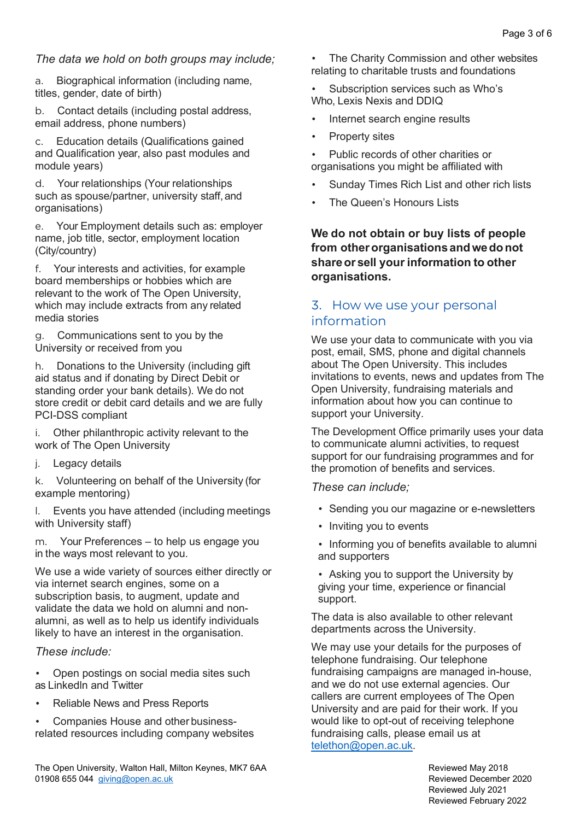#### *The data we hold on both groups may include;*

a. Biographical information (including name, titles, gender, date of birth)

b. Contact details (including postal address, email address, phone numbers)

Education details (Qualifications gained and Qualification year, also past modules and module years)

d. Your relationships (Your relationships such as spouse/partner, university staff,and organisations)

e. Your Employment details such as: employer name, job title, sector, employment location (City/country)

f. Your interests and activities, for example board memberships or hobbies which are relevant to the work of The Open University, which may include extracts from any related media stories

g. Communications sent to you by the University or received from you

h. Donations to the University (including gift aid status and if donating by Direct Debit or standing order your bank details). We do not store credit or debit card details and we are fully PCI-DSS compliant

i. Other philanthropic activity relevant to the work of The Open University

j. Legacy details

k. Volunteering on behalf of the University (for example mentoring)

l. Events you have attended (including meetings with University staff)

m. Your Preferences – to help us engage you in the ways most relevant to you.

We use a wide variety of sources either directly or via internet search engines, some on a subscription basis, to augment, update and validate the data we hold on alumni and nonalumni, as well as to help us identify individuals likely to have an interest in the organisation.

#### *These include:*

- Open postings on social media sites such as Linkedln and Twitter
- Reliable News and Press Reports

• Companies House and other businessrelated resources including company websites

The Open University, Walton Hall, Milton Keynes, MK7 6AA Reviewed May 2018 01908 655 044 [giving@open.ac.uk](mailto:giving@open.ac.uk) and the control of the control of the control of the Reviewed December 2020

The Charity Commission and other websites relating to charitable trusts and foundations

Subscription services such as Who's Who, Lexis Nexis and DDIQ

- Internet search engine results
- Property sites

Public records of other charities or organisations you might be affiliated with

- Sunday Times Rich List and other rich lists
- The Queen's Honours Lists

**We do not obtain or buy lists of people from otherorganisations andwedonot shareor sell your information to other organisations.**

### <span id="page-2-0"></span>3. How we use your personal information

We use your data to communicate with you via post, email, SMS, phone and digital channels about The Open University. This includes invitations to events, news and updates from The Open University, fundraising materials and information about how you can continue to support your University.

The Development Office primarily uses your data to communicate alumni activities, to request support for our fundraising programmes and for the promotion of benefits and services.

#### *These can include;*

- Sending you our magazine or e-newsletters
- Inviting you to events
- Informing you of benefits available to alumni and supporters
- Asking you to support the University by giving your time, experience or financial support.

The data is also available to other relevant departments across the University.

We may use your details for the purposes of telephone fundraising. Our telephone fundraising campaigns are managed in-house, and we do not use external agencies. Our callers are current employees of The Open University and are paid for their work. If you would like to opt-out of receiving telephone fundraising calls, please email us at [telethon@open.ac.uk.](mailto:telethon@open.ac.uk)

> Reviewed July 2021 Reviewed February 2022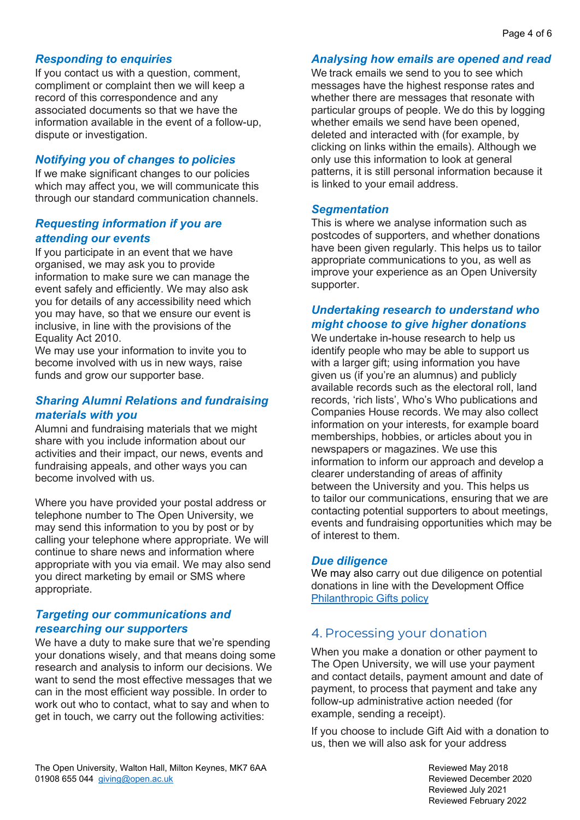#### *Responding to enquiries*

If you contact us with a question, comment, compliment or complaint then we will keep a record of this correspondence and any associated documents so that we have the information available in the event of a follow-up, dispute or investigation.

#### *Notifying you of changes to policies*

If we make significant changes to our policies which may affect you, we will communicate this through our standard communication channels.

#### *Requesting information if you are attending our events*

If you participate in an event that we have organised, we may ask you to provide information to make sure we can manage the event safely and efficiently. We may also ask you for details of any accessibility need which you may have, so that we ensure our event is inclusive, in line with the provisions of the Equality Act 2010.

We may use your information to invite you to become involved with us in new ways, raise funds and grow our supporter base.

#### *Sharing Alumni Relations and fundraising materials with you*

Alumni and fundraising materials that we might share with you include information about our activities and their impact, our news, events and fundraising appeals, and other ways you can become involved with us.

Where you have provided your postal address or telephone number to The Open University, we may send this information to you by post or by calling your telephone where appropriate. We will continue to share news and information where appropriate with you via email. We may also send you direct marketing by email or SMS where appropriate.

#### *Targeting our communications and researching our supporters*

We have a duty to make sure that we're spending your donations wisely, and that means doing some research and analysis to inform our decisions. We want to send the most effective messages that we can in the most efficient way possible. In order to work out who to contact, what to say and when to get in touch, we carry out the following activities:

#### *Analysing how emails are opened and read*

We track emails we send to you to see which messages have the highest response rates and whether there are messages that resonate with particular groups of people. We do this by logging whether emails we send have been opened, deleted and interacted with (for example, by clicking on links within the emails). Although we only use this information to look at general patterns, it is still personal information because it is linked to your email address.

#### *Segmentation*

This is where we analyse information such as postcodes of supporters, and whether donations have been given regularly. This helps us to tailor appropriate communications to you, as well as improve your experience as an Open University supporter.

#### *Undertaking research to understand who might choose to give higher donations*

We undertake in-house research to help us identify people who may be able to support us with a larger gift; using information you have given us (if you're an alumnus) and publicly available records such as the electoral roll, land records, 'rich lists', Who's Who publications and Companies House records. We may also collect information on your interests, for example board memberships, hobbies, or articles about you in newspapers or magazines. We use this information to inform our approach and develop a clearer understanding of areas of affinity between the University and you. This helps us to tailor our communications, ensuring that we are contacting potential supporters to about meetings, events and fundraising opportunities which may be of interest to them.

#### *Due diligence*

We may also carry out due diligence on potential donations in line with the Development Office [Philanthropic Gifts policy](https://giving.open.ac.uk/sites/giving.open.ac.uk/files/files/Philanthropic%20Gifts%20Policy%20Procedure%20July%202021.pdf)

#### <span id="page-3-0"></span>4. Processing your donation

When you make a donation or other payment to The Open University, we will use your payment and contact details, payment amount and date of payment, to process that payment and take any follow-up administrative action needed (for example, sending a receipt).

If you choose to include Gift Aid with a donation to us, then we will also ask for your address

Reviewed July 2021 Reviewed February 2022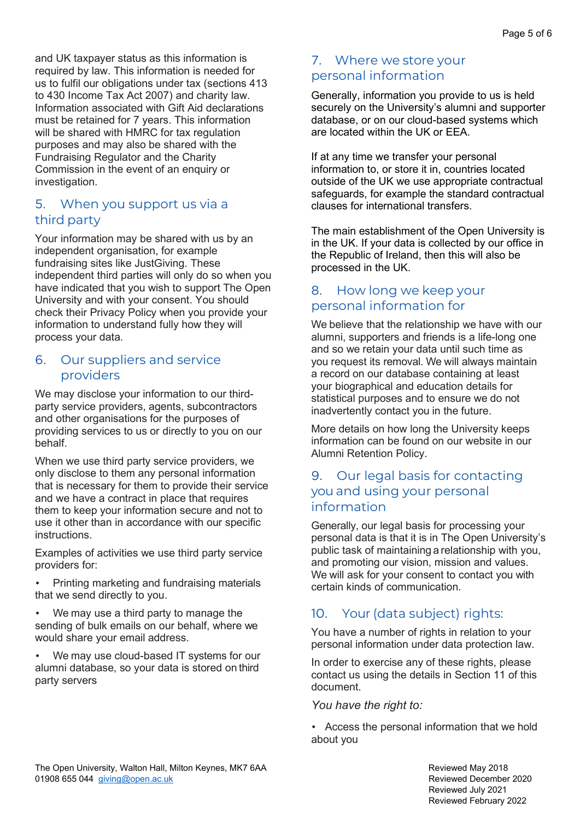and UK taxpayer status as this information is required by law. This information is needed for us to fulfil our obligations under tax (sections 413 to 430 Income Tax Act 2007) and charity law. Information associated with Gift Aid declarations must be retained for 7 years. This information will be shared with HMRC for tax regulation purposes and may also be shared with the Fundraising Regulator and the Charity Commission in the event of an enquiry or investigation.

### <span id="page-4-0"></span>5. When you support us via a third party

Your information may be shared with us by an independent organisation, for example fundraising sites like JustGiving. These independent third parties will only do so when you have indicated that you wish to support The Open University and with your consent. You should check their Privacy Policy when you provide your information to understand fully how they will process your data.

#### <span id="page-4-1"></span>6. Our suppliers and service providers

We may disclose your information to our thirdparty service providers, agents, subcontractors and other organisations for the purposes of providing services to us or directly to you on our behalf.

When we use third party service providers, we only disclose to them any personal information that is necessary for them to provide their service and we have a contract in place that requires them to keep your information secure and not to use it other than in accordance with our specific instructions.

Examples of activities we use third party service providers for:

• Printing marketing and fundraising materials that we send directly to you.

We may use a third party to manage the sending of bulk emails on our behalf, where we would share your email address.

• We may use cloud-based IT systems for our alumni database, so your data is stored on third party servers

## <span id="page-4-2"></span>7. Where we store your personal information

Generally, information you provide to us is held securely on the University's alumni and supporter database, or on our cloud-based systems which are located within the UK or EEA.

If at any time we transfer your personal information to, or store it in, countries located outside of the UK we use appropriate contractual safeguards, for example the standard contractual clauses for international transfers.

The main establishment of the Open University is in the UK. If your data is collected by our office in the Republic of Ireland, then this will also be processed in the UK.

### <span id="page-4-3"></span>8. How long we keep your personal information for

We believe that the relationship we have with our alumni, supporters and friends is a life-long one and so we retain your data until such time as you request its removal. We will always maintain a record on our database containing at least your biographical and education details for statistical purposes and to ensure we do not inadvertently contact you in the future.

More details on how long the University keeps information can be found on our website in our Alumni Retention Policy.

### <span id="page-4-4"></span>9. Our legal basis for contacting you and using your personal information

Generally, our legal basis for processing your personal data is that it is in The Open University's public task of maintaining a relationship with you, and promoting our vision, mission and values. We will ask for your consent to contact you with certain kinds of communication.

# <span id="page-4-5"></span>10. Your (data subject) rights:

You have a number of rights in relation to your personal information under data protection law.

In order to exercise any of these rights, please contact us using the details in Section 11 of this document.

#### *You have the right to:*

• Access the personal information that we hold about you